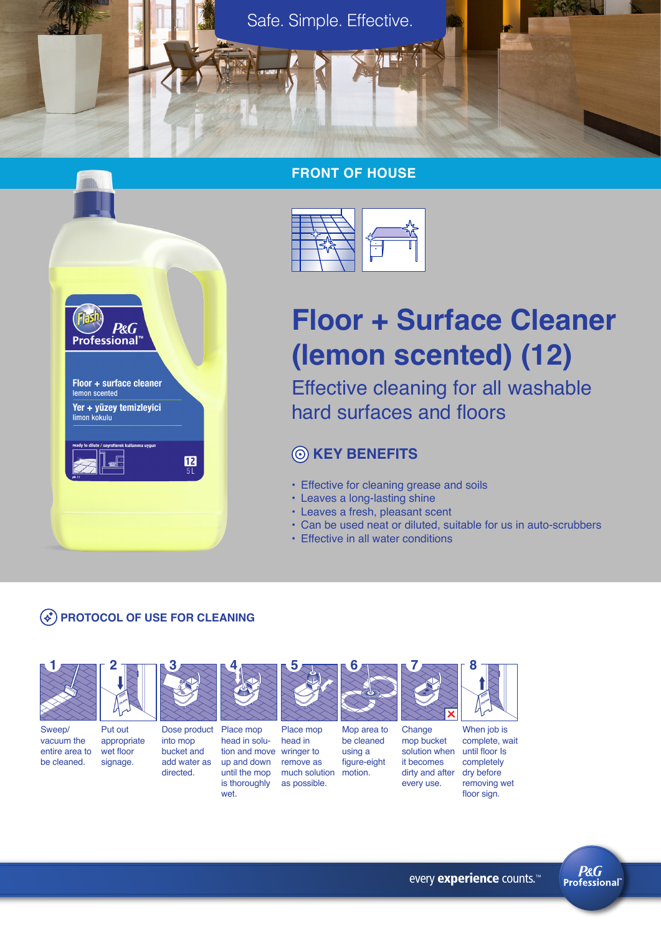

# **FRONT OF HOUSE**



# **Floor + Surface Cleaner (lemon scented) (12)**

Effective cleaning for all washable hard surfaces and floors

# **KEY BENEFITS**

- Effective for cleaning grease and soils
- Leaves a long-lasting shine
- Leaves a fresh, pleasant scent
- Can be used neat or diluted, suitable for us in auto-scrubbers
- Effective in all water conditions

# **PROTOCOL OF USE FOR CLEANING**



**3**

Sweep/ vacuum the entire area to be cleaned. Put out appropriate wet floor signage.

**2**

directed.



head in solution and move wringer to up and down until the mop

is thoroughly wet.

**4**



Place mop head in remove as much solution as possible. using a figure-eight motion.

**5**



Change mop bucket solution when it becomes dirty and after every use.

**7**

**8**

When job is complete, wait until floor Is completely dry before removing wet floor sign.